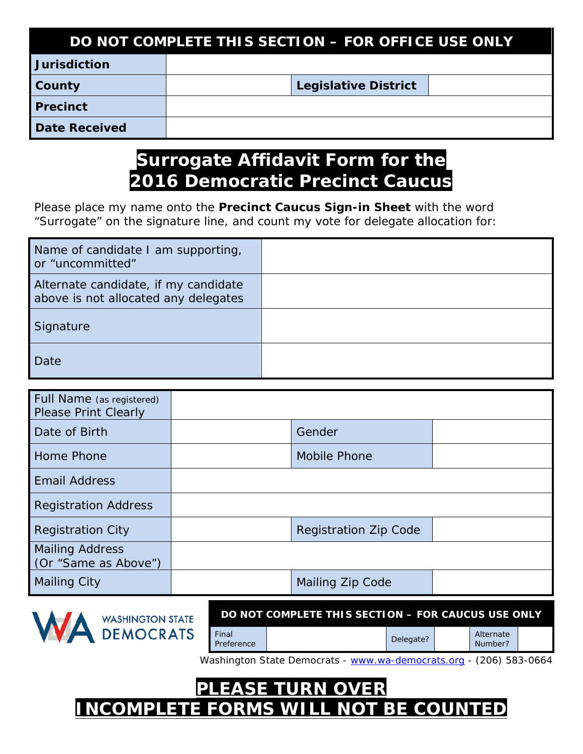| DO NOT COMPLETE THIS SECTION - FOR OFFICE USE ONLY |  |                             |  |  |  |
|----------------------------------------------------|--|-----------------------------|--|--|--|
| <b>Jurisdiction</b>                                |  |                             |  |  |  |
| County                                             |  | <b>Legislative District</b> |  |  |  |
| <b>Precinct</b>                                    |  |                             |  |  |  |
| Date Received                                      |  |                             |  |  |  |

## **Surrogate Affidavit Form for the 2016 Democratic Precinct Caucus**

Please place my name onto the **Precinct Caucus Sign-in Sheet** with the word *"Surrogate"* on the signature line, and count my vote for delegate allocation for:

| Name of candidate I am supporting,<br>or "uncommitted"                       |  |
|------------------------------------------------------------------------------|--|
| Alternate candidate, if my candidate<br>above is not allocated any delegates |  |
| Signature                                                                    |  |
| Date                                                                         |  |

| Full Name (as registered)<br><b>Please Print Clearly</b> |                              |  |
|----------------------------------------------------------|------------------------------|--|
| Date of Birth                                            | Gender                       |  |
| Home Phone                                               | <b>Mobile Phone</b>          |  |
| <b>Email Address</b>                                     |                              |  |
| <b>Registration Address</b>                              |                              |  |
| <b>Registration City</b>                                 | <b>Registration Zip Code</b> |  |
| <b>Mailing Address</b><br>(Or "Same as Above")           |                              |  |
| <b>Mailing City</b>                                      | <b>Mailing Zip Code</b>      |  |



**DO NOT COMPLETE THIS SECTION – FOR CAUCUS USE ONLY**

Number?

Washington State Democrats - [www.wa-democrats.org](http://www.wa-democrats.org/) - (206) 583-0664

Final Alternate (1999)<br>Preference (1999) Delegate? Alternate (1999) Number?

**PLEASE TURN OVER INCOMPLETE FORMS WILL NOT BE COUNTED**

Final<br>Preference